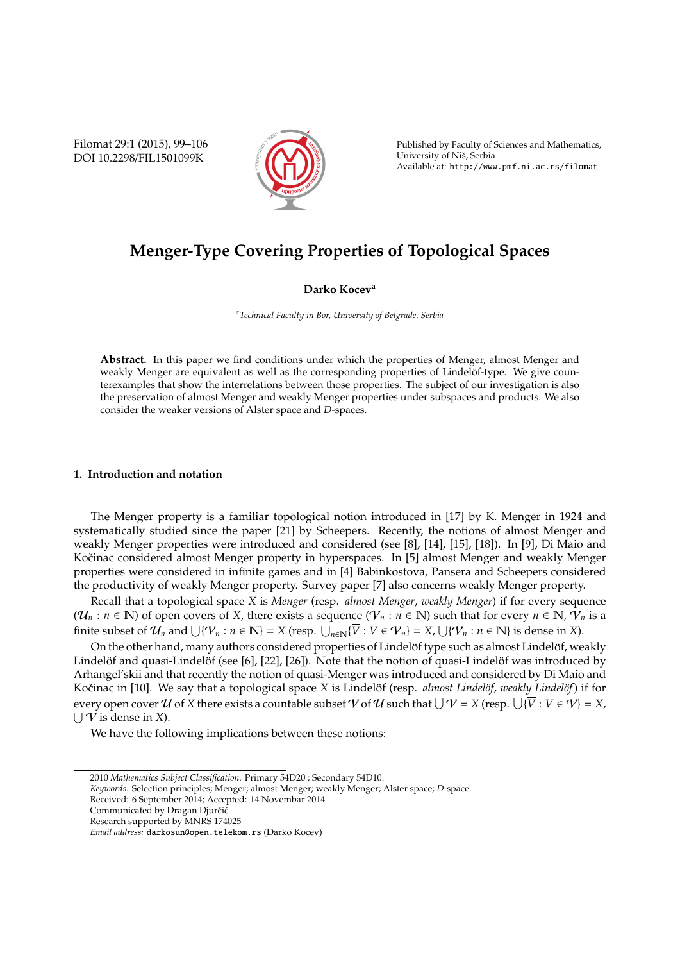Filomat 29:1 (2015), 99–106 DOI 10.2298/FIL1501099K



Published by Faculty of Sciences and Mathematics, University of Niš, Serbia Available at: http://www.pmf.ni.ac.rs/filomat

# **Menger-Type Covering Properties of Topological Spaces**

# **Darko Kocev<sup>a</sup>**

*<sup>a</sup>Technical Faculty in Bor, University of Belgrade, Serbia*

**Abstract.** In this paper we find conditions under which the properties of Menger, almost Menger and weakly Menger are equivalent as well as the corresponding properties of Lindelöf-type. We give counterexamples that show the interrelations between those properties. The subject of our investigation is also the preservation of almost Menger and weakly Menger properties under subspaces and products. We also consider the weaker versions of Alster space and *D*-spaces.

## **1. Introduction and notation**

The Menger property is a familiar topological notion introduced in [17] by K. Menger in 1924 and systematically studied since the paper [21] by Scheepers. Recently, the notions of almost Menger and weakly Menger properties were introduced and considered (see [8], [14], [15], [18]). In [9], Di Maio and Kočinac considered almost Menger property in hyperspaces. In [5] almost Menger and weakly Menger properties were considered in infinite games and in [4] Babinkostova, Pansera and Scheepers considered the productivity of weakly Menger property. Survey paper [7] also concerns weakly Menger property.

Recall that a topological space *X* is *Menger* (resp. *almost Menger*, *weakly Menger*) if for every sequence  $(\mathcal{U}_n : n \in \mathbb{N})$  of open covers of *X*, there exists a sequence  $(\mathcal{V}_n : n \in \mathbb{N})$  such that for every  $n \in \mathbb{N}$ ,  $\mathcal{V}_n$  is a finite subset of  $\mathcal{U}_n$  and  $\bigcup \{ \mathcal{V}_n : n \in \mathbb{N} \} = X$  (resp.  $\bigcup_{n \in \mathbb{N}} \{ \overline{V} : V \in \mathcal{V}_n \} = X$ ,  $\bigcup \{ \mathcal{V}_n : n \in \mathbb{N} \}$  is dense in *X*).

On the other hand, many authors considered properties of Lindelöf type such as almost Lindelöf, weakly Lindelöf and quasi-Lindelöf (see [6], [22], [26]). Note that the notion of quasi-Lindelöf was introduced by Arhangel'skii and that recently the notion of quasi-Menger was introduced and considered by Di Maio and Kočinac in [10]. We say that a topological space *X* is Lindelöf (resp. almost Lindelöf, *weakly Lindelöf*) if for every open cover  $U$  of  $X$  there exists a countable subset  $V$  of  $U$  such that  $\bigcup \mathcal{V} = X$  (resp.  $\bigcup \{\overline{V}: V\in \mathcal{V}\}=X$ ,  $\bigcup \overrightarrow{V}$  is dense in *X*).

We have the following implications between these notions:

*Keywords*. Selection principles; Menger; almost Menger; weakly Menger; Alster space; *D*-space.

Received: 6 September 2014; Accepted: 14 Novembar 2014

<sup>2010</sup> *Mathematics Subject Classification*. Primary 54D20 ; Secondary 54D10.

Communicated by Dragan Djurčić

Research supported by MNRS 174025

*Email address:* darkosun@open.telekom.rs (Darko Kocev)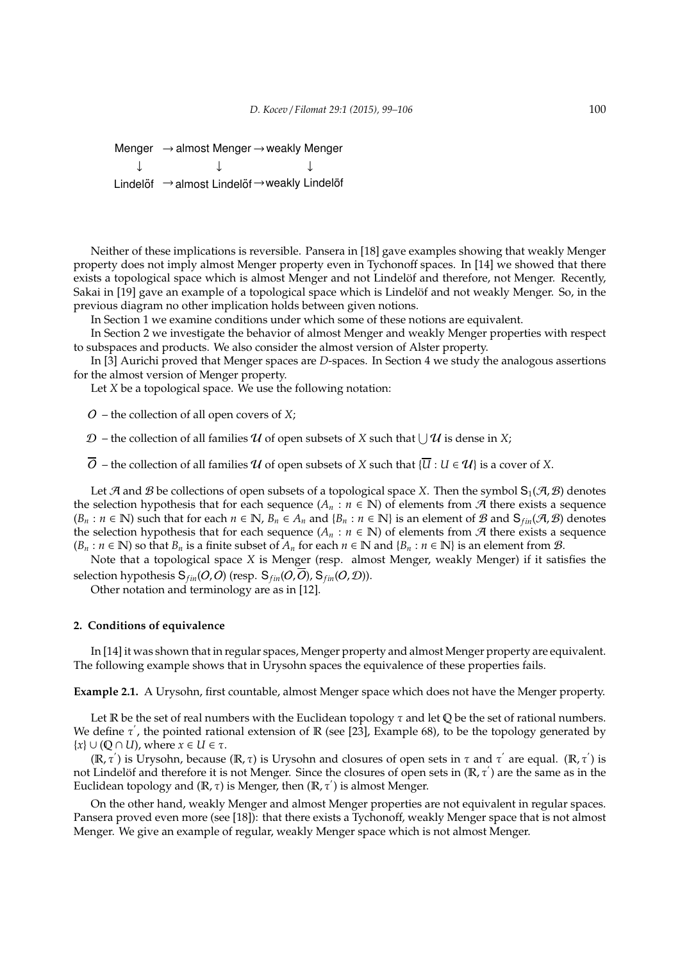Menger  $\rightarrow$  almost Menger  $\rightarrow$  weakly Menger ↓ ↓ ↓ Lindelöf → almost Lindelöf → weakly Lindelöf

Neither of these implications is reversible. Pansera in [18] gave examples showing that weakly Menger property does not imply almost Menger property even in Tychonoff spaces. In [14] we showed that there exists a topological space which is almost Menger and not Lindelöf and therefore, not Menger. Recently, Sakai in [19] gave an example of a topological space which is Lindelöf and not weakly Menger. So, in the previous diagram no other implication holds between given notions.

In Section 1 we examine conditions under which some of these notions are equivalent.

In Section 2 we investigate the behavior of almost Menger and weakly Menger properties with respect to subspaces and products. We also consider the almost version of Alster property.

In [3] Aurichi proved that Menger spaces are *D*-spaces. In Section 4 we study the analogous assertions for the almost version of Menger property.

Let *X* be a topological space. We use the following notation:

O – the collection of all open covers of *X*;

 $\mathcal{D}$  – the collection of all families  $\mathcal U$  of open subsets of  $X$  such that  $\bigcup \mathcal U$  is dense in  $X$ ;

 $\overline{O}$  – the collection of all families U of open subsets of X such that  $\{\overline{U} : U \in \mathcal{U}\}\$ is a cover of X.

Let A and B be collections of open subsets of a topological space *X*. Then the symbol  $S_1(\mathcal{A}, \mathcal{B})$  denotes the selection hypothesis that for each sequence  $(A_n : n \in \mathbb{N})$  of elements from  $A$  there exists a sequence  $(B_n : n \in \mathbb{N})$  such that for each  $n \in \mathbb{N}$ ,  $B_n \in A_n$  and  $\{B_n : n \in \mathbb{N}\}$  is an element of B and  $S_{fin}(\mathcal{A}, \mathcal{B})$  denotes the selection hypothesis that for each sequence  $(A_n : n \in \mathbb{N})$  of elements from  $\mathcal A$  there exists a sequence  $(B_n : n \in \mathbb{N})$  so that  $B_n$  is a finite subset of  $A_n$  for each  $n \in \mathbb{N}$  and  $\{B_n : n \in \mathbb{N}\}\$ is an element from  $\mathcal{B}$ .

Note that a topological space *X* is Menger (resp. almost Menger, weakly Menger) if it satisfies the selection hypothesis  $S_{fin}(O,O)$  (resp.  $S_{fin}(O,O)$ ,  $S_{fin}(O, O)$ ).

Other notation and terminology are as in [12].

## **2. Conditions of equivalence**

In [14] it was shown that in regular spaces, Menger property and almost Menger property are equivalent. The following example shows that in Urysohn spaces the equivalence of these properties fails.

**Example 2.1.** A Urysohn, first countable, almost Menger space which does not have the Menger property.

Let R be the set of real numbers with the Euclidean topology  $\tau$  and let Q be the set of rational numbers. We define  $\tau'$ , the pointed rational extension of R (see [23], Example 68), to be the topology generated by  ${x} \cup (Q \cap U)$ , where  $x \in U \in \tau$ .

( $\mathbb{R}, \tau'$ ) is Urysohn, because ( $\mathbb{R}, \tau$ ) is Urysohn and closures of open sets in τ and τ' are equal. ( $\mathbb{R}, \tau'$ ) is not Lindelöf and therefore it is not Menger. Since the closures of open sets in  $(\mathbb{R}, \tau')$  are the same as in the Euclidean topology and  $(\mathbb{R}, \tau)$  is Menger, then  $(\mathbb{R}, \tau')$  is almost Menger.

On the other hand, weakly Menger and almost Menger properties are not equivalent in regular spaces. Pansera proved even more (see [18]): that there exists a Tychonoff, weakly Menger space that is not almost Menger. We give an example of regular, weakly Menger space which is not almost Menger.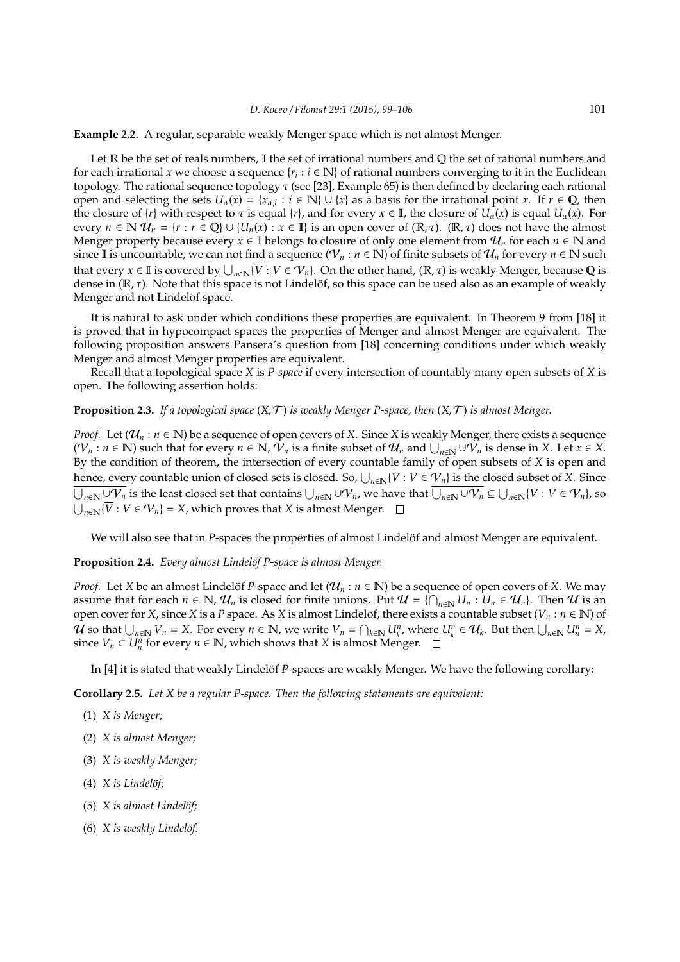**Example 2.2.** A regular, separable weakly Menger space which is not almost Menger.

Let  $\mathbb R$  be the set of reals numbers,  $\mathbb I$  the set of irrational numbers and  $\mathbb Q$  the set of rational numbers and for each irrational *x* we choose a sequence { $r_i : i \in \mathbb{N}$ } of rational numbers converging to it in the Euclidean topology. The rational sequence topology τ (see [23], Example 65) is then defined by declaring each rational open and selecting the sets  $U_\alpha(x) = \{x_{\alpha,i} : i \in \mathbb{N}\} \cup \{x\}$  as a basis for the irrational point *x*. If  $r \in \mathbb{Q}$ , then the closure of  $\{r\}$  with respect to  $\tau$  is equal  $\{r\}$ , and for every  $x \in \mathbb{I}$ , the closure of  $U_\alpha(x)$  is equal  $U_\alpha(x)$ . For every  $n \in \mathbb{N}$   $\mathcal{U}_n = \{r : r \in \mathbb{Q}\} \cup \{U_n(x) : x \in \mathbb{I}\}\$ is an open cover of  $(\mathbb{R}, \tau)$ .  $(\mathbb{R}, \tau)$  does not have the almost Menger property because every  $x \in \mathbb{I}$  belongs to closure of only one element from  $\mathcal{U}_n$  for each  $n \in \mathbb{N}$  and since II is uncountable, we can not find a sequence ( $V_n : n \in \mathbb{N}$ ) of finite subsets of  $\mathcal{U}_n$  for every  $n \in \mathbb{N}$  such that every  $x \in \mathbb{I}$  is covered by  $\bigcup_{n\in\mathbb{N}}\{\overline{V}: V\in\mathcal{V}_n\}$ . On the other hand,  $(\mathbb{R},\tau)$  is weakly Menger, because Q is dense in  $(\mathbb{R}, \tau)$ . Note that this space is not Lindelöf, so this space can be used also as an example of weakly Menger and not Lindelöf space.

It is natural to ask under which conditions these properties are equivalent. In Theorem 9 from [18] it is proved that in hypocompact spaces the properties of Menger and almost Menger are equivalent. The following proposition answers Pansera's question from [18] concerning conditions under which weakly Menger and almost Menger properties are equivalent.

Recall that a topological space *X* is *P-space* if every intersection of countably many open subsets of *X* is open. The following assertion holds:

## **Proposition 2.3.** *If a topological space* (*X*, T ) *is weakly Menger P-space, then* (*X*, T ) *is almost Menger.*

*Proof.* Let  $(\mathcal{U}_n : n \in \mathbb{N})$  be a sequence of open covers of *X*. Since *X* is weakly Menger, there exists a sequence  $(V_n : n \in \mathbb{N})$  such that for every  $n \in \mathbb{N}$ ,  $\hat{V}_n$  is a finite subset of  $\mathcal{U}_n$  and  $\bigcup_{n \in \mathbb{N}} \cup \hat{V}_n$  is dense in *X*. Let  $x \in X$ . By the condition of theorem, the intersection of every countable family of open subsets of *X* is open and hence, every countable union of closed sets is closed. So,  $\bigcup_{n\in\mathbb{N}}\{\overline V:V\in\mathcal{V}_n\}$  is the closed subset of  $X.$  Since  $\overline{\bigcup_{n\in \mathbb{N}} \cup \mathcal{V}_n}$  is the least closed set that contains  $\bigcup_{n\in \mathbb{N}} \cup \mathcal{V}_n$ , we have that  $\overline{\bigcup_{n\in \mathbb{N}} \cup \mathcal{V}_n} \subseteq \bigcup_{n\in \mathbb{N}} \{\overline{V}: V\in \mathcal{V}_n\},$  so  $\bigcup_{n \in \mathbb{N}} {\{\overline{V} : V \in \mathcal{V}_n\}} = X$ , which proves that *X* is almost Menger.

We will also see that in *P*-spaces the properties of almost Lindelöf and almost Menger are equivalent.

#### **Proposition 2.4.** *Every almost Lindelöf P-space is almost Menger.*

*Proof.* Let *X* be an almost Lindelöf *P*-space and let ( $\mathcal{U}_n : n \in \mathbb{N}$ ) be a sequence of open covers of *X*. We may assume that for each  $n \in \mathbb{N}$ ,  $\mathcal{U}_n$  is closed for finite unions. Put  $\mathcal{U} = \{\bigcap_{n \in \mathbb{N}} U_n : U_n \in \mathcal{U}_n\}$ . Then  $\mathcal{U}$  is an open cover for *X*, since *X* is a *P* space. As *X* is almost Lindelöf, there exists a countable subset ( $V_n : n \in \mathbb{N}$ ) of  $\mathcal U$  so that  $\bigcup_{n\in\mathbb N} \overline{V_n} = X$ . For every  $n \in \mathbb N$ , we write  $V_n = \bigcap_{k\in\mathbb N} U_k^n$ , where  $U_k^n \in \mathcal U_k$ . But then  $\bigcup_{n\in\mathbb N} \overline{U_n^n} = X$ , since  $V_n \subset U_n^n$  for every  $n \in \mathbb{N}$ , which shows that *X* is almost Menger.

In [4] it is stated that weakly Lindelöf *P*-spaces are weakly Menger. We have the following corollary:

**Corollary 2.5.** *Let X be a regular P-space. Then the following statements are equivalent:*

- (1) *X is Menger;*
- (2) *X is almost Menger;*
- (3) *X is weakly Menger;*
- (4) *X* is Lindelöf;
- (5) *X* is almost Lindelöf;
- (6) *X* is weakly Lindelöf.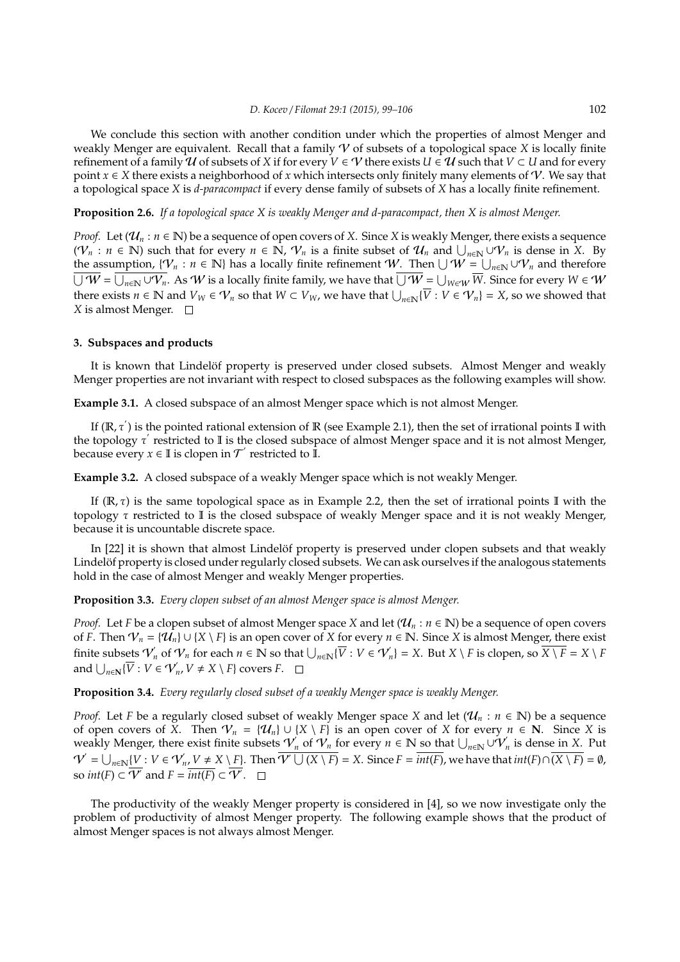We conclude this section with another condition under which the properties of almost Menger and weakly Menger are equivalent. Recall that a family V of subsets of a topological space *X* is locally finite refinement of a family  $\mathcal U$  of subsets of *X* if for every  $V \in \mathcal V$  there exists  $U \in \mathcal U$  such that  $V \subset U$  and for every point  $x \in X$  there exists a neighborhood of x which intersects only finitely many elements of  $\mathcal V$ . We say that a topological space *X* is *d-paracompact* if every dense family of subsets of *X* has a locally finite refinement.

## **Proposition 2.6.** *If a topological space X is weakly Menger and d-paracompact, then X is almost Menger.*

*Proof.* Let  $(\mathcal{U}_n : n \in \mathbb{N})$  be a sequence of open covers of *X*. Since *X* is weakly Menger, there exists a sequence  $(V_n : n \in \mathbb{N})$  such that for every  $n \in \mathbb{N}$ ,  $V_n$  is a finite subset of  $\mathcal{U}_n$  and  $\bigcup_{n \in \mathbb{N}} \cup V_n$  is dense in X. By the assumption,  $\{V_n : n \in \mathbb{N}\}\$  has a locally finite refinement W. Then  $\bigcup W = \bigcup_{n \in \mathbb{N}} \cup V_n$  and therefore  $\overline{\bigcup W}=\overline{\bigcup_{n\in \mathbb{N}}\cup V_n}.$  As  $W$  is a locally finite family, we have that  $\overline{\bigcup W}=\bigcup_{W\in W}\overline{W}.$  Since for every  $W\in W$ there exists  $n \in \mathbb{N}$  and  $V_W \in V_n$  so that  $W \subset V_W$ , we have that  $\bigcup_{n \in \mathbb{N}} \{\overline{V} : V \in V_n\} = X$ , so we showed that *X* is almost Menger.

# **3. Subspaces and products**

It is known that Lindelöf property is preserved under closed subsets. Almost Menger and weakly Menger properties are not invariant with respect to closed subspaces as the following examples will show.

**Example 3.1.** A closed subspace of an almost Menger space which is not almost Menger.

If ( $\mathbb{R}, \tau'$ ) is the pointed rational extension of  $\mathbb{R}$  (see Example 2.1), then the set of irrational points II with the topology τ' restricted to II is the closed subspace of almost Menger space and it is not almost Menger, because every  $x \in \mathbb{I}$  is clopen in  $\mathcal{T}'$  restricted to  $\mathbb{I}$ .

**Example 3.2.** A closed subspace of a weakly Menger space which is not weakly Menger.

If  $(\mathbb{R}, \tau)$  is the same topological space as in Example 2.2, then the set of irrational points I with the topology  $\tau$  restricted to I is the closed subspace of weakly Menger space and it is not weakly Menger, because it is uncountable discrete space.

In [22] it is shown that almost Lindelöf property is preserved under clopen subsets and that weakly Lindelöf property is closed under regularly closed subsets. We can ask ourselves if the analogous statements hold in the case of almost Menger and weakly Menger properties.

**Proposition 3.3.** *Every clopen subset of an almost Menger space is almost Menger.*

*Proof.* Let *F* be a clopen subset of almost Menger space *X* and let  $(\mathcal{U}_n : n \in \mathbb{N})$  be a sequence of open covers of *F*. Then  $V_n = \{\hat{U}_n\} \cup \{X \setminus F\}$  is an open cover of *X* for every  $n \in \mathbb{N}$ . Since *X* is almost Menger, there exist finite subsets  $V'_n$  of  $V_n$  for each  $n \in \mathbb{N}$  so that  $\bigcup_{n \in \mathbb{N}} {\{\overline{V} : V \in V'_n\}} = X$ . But  $X \setminus F$  is clopen, so  $\overline{X \setminus F} = X \setminus F$ and  $\bigcup_{n\in\mathbb{N}} {\{\overline{V} : V \in \mathcal{V}'_n, V \neq X \setminus F\}}$  covers *F*.

# **Proposition 3.4.** *Every regularly closed subset of a weakly Menger space is weakly Menger.*

*Proof.* Let *F* be a regularly closed subset of weakly Menger space *X* and let ( $\mathcal{U}_n : n \in \mathbb{N}$ ) be a sequence of open covers of  $\overline{X}$ . Then  $V_n = \{U_n\} \cup \{X \setminus F\}$  is an open cover of *X* for every  $n \in \mathbb{N}$ . Since *X* is weakly Menger, there exist finite subsets  $V_n$  of  $V_n$  for every  $n \in \mathbb{N}$  so that  $\bigcup_{n \in \mathbb{N}} \cup V_n$  is dense in *X*. Put  $\mathcal{V}^{'} = \bigcup_{n \in \mathbb{N}} \{V : V \in \mathcal{V}_{n}', V \neq X \setminus F\}.$  Then  $\overline{\mathcal{V}' \cup (X \setminus F)} = X$ . Since  $F = \overline{int(F)}$ , we have that  $int(F) \cap (\overline{X \setminus F}) = \emptyset$ , so  $int(F) \subset \overline{V'}$  and  $F = \overline{int(F)} \subset \overline{V'}$ .

The productivity of the weakly Menger property is considered in [4], so we now investigate only the problem of productivity of almost Menger property. The following example shows that the product of almost Menger spaces is not always almost Menger.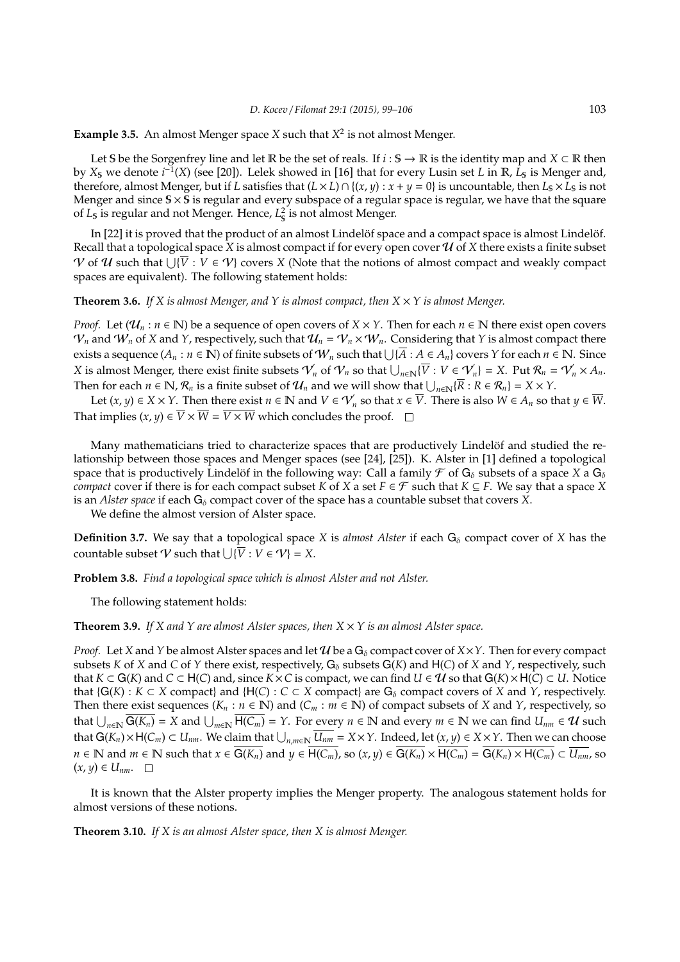**Example 3.5.** An almost Menger space *X* such that *X* 2 is not almost Menger.

Let S be the Sorgenfrey line and let R be the set of reals. If *i* : S  $\rightarrow \mathbb{R}$  is the identity map and *X* ⊂ R then by *X*<sub>S</sub> we denote *i*<sup>−1</sup>(*X*) (see [20]). Lelek showed in [16] that for every Lusin set *L* in ℝ, *L*<sub>S</sub> is Menger and, therefore, almost Menger, but if *L* satisfies that  $(L \times L) \cap \{(x, y) : x + y = 0\}$  is uncountable, then  $L_s \times L_s$  is not Menger and since  $S \times S$  is regular and every subspace of a regular space is regular, we have that the square of *L*<sub>s</sub> is regular and not Menger. Hence, *L*<sub>s</sub><sup>2</sup> is not almost Menger.

In  $[22]$  it is proved that the product of an almost Lindel of space and a compact space is almost Lindel  $\delta$ f. Recall that a topological space *X* is almost compact if for every open cover  $U$  of *X* there exists a finite subset *V* of *U* such that  $\bigcup \{\overline{V} : V \in \mathcal{V}\}\)$  covers *X* (Note that the notions of almost compact and weakly compact spaces are equivalent). The following statement holds:

**Theorem 3.6.** *If X is almost Menger, and Y is almost compact, then X* × *Y is almost Menger.*

*Proof.* Let  $(\mathcal{U}_n : n \in \mathbb{N})$  be a sequence of open covers of  $X \times Y$ . Then for each  $n \in \mathbb{N}$  there exist open covers  $V_n$  and  $W_n$  of *X* and *Y*, respectively, such that  $U_n = V_n \times W_n$ . Considering that *Y* is almost compact there exists a sequence  $(A_n : n \in \mathbb{N})$  of finite subsets of  $W_n$  such that  $\bigcup \{ \overline{A} : A \in A_n \}$  covers  $Y$  for each  $n \in \mathbb{N}$ . Since *X* is almost Menger, there exist finite subsets  $\mathcal{V}'_n$  of  $\mathcal{V}_n$  so that  $\bigcup_{n\in\mathbb{N}}\{\overline{V}: V\in \mathcal{V}'_n\} = X$ . Put  $\mathcal{R}_n = \mathcal{V}'_n \times A_n$ . Then for each  $n \in \mathbb{N}$ ,  $\mathcal{R}_n$  is a finite subset of  $\mathcal{U}_n$  and we will show that  $\bigcup_{n\in\mathbb{N}}\{\overline{R}:R\in\mathcal{R}_n\}=X\times Y$ .

Let  $(x, y) \in X \times Y$ . Then there exist  $n \in \mathbb{N}$  and  $V \in V'_n$  so that  $x \in \overline{V}$ . There is also  $W \in A_n$  so that  $y \in \overline{W}$ . That implies  $(x, y) \in \overline{V} \times \overline{W} = \overline{V \times W}$  which concludes the proof.  $\Box$ 

Many mathematicians tried to characterize spaces that are productively Lindelöf and studied the relationship between those spaces and Menger spaces (see [24], [25]). K. Alster in [1] defined a topological space that is productively Lindelöf in the following way: Call a family  $\mathcal F$  of  $G_\delta$  subsets of a space  $X$  a  $G_\delta$ *compact* cover if there is for each compact subset *K* of *X* a set  $F \in \mathcal{F}$  such that  $K \subseteq F$ . We say that a space *X* is an *Alster space* if each  $G_{\delta}$  compact cover of the space has a countable subset that covers *X*.

We define the almost version of Alster space.

**Definition 3.7.** We say that a topological space *X* is *almost Alster* if each  $G_{\delta}$  compact cover of *X* has the countable subset  $V$  such that  $\bigcup \{\overline{V} : V \in V\} = X$ .

**Problem 3.8.** *Find a topological space which is almost Alster and not Alster.*

The following statement holds:

**Theorem 3.9.** If X and Y are almost Alster spaces, then  $X \times Y$  is an almost Alster space.

*Proof.* Let *X* and *Y* be almost Alster spaces and let U be a  $G_{\delta}$  compact cover of  $X \times Y$ . Then for every compact subsets *K* of *X* and *C* of *Y* there exist, respectively,  $G_{\delta}$  subsets  $G(K)$  and  $H(C)$  of *X* and *Y*, respectively, such that *K* ⊂ G(*K*) and *C* ⊂ H(*C*) and, since *K* × *C* is compact, we can find *U* ∈ *U* so that G(*K*) × H(*C*) ⊂ *U*. Notice that  ${G(K) : K \subset X}$  compact} and  ${H(C) : C \subset X}$  compact} are  $G_\delta$  compact covers of *X* and *Y*, respectively. Then there exist sequences ( $K_n : n \in \mathbb{N}$ ) and ( $C_m : m \in \mathbb{N}$ ) of compact subsets of *X* and *Y*, respectively, so that  $\bigcup_{n\in\mathbb{N}}\overline{G(K_n)} = X$  and  $\bigcup_{m\in\mathbb{N}}\overline{H(C_m)} = Y$ . For every  $n \in \mathbb{N}$  and every  $m \in \mathbb{N}$  we can find  $U_{nm} \in \mathcal{U}$  such that  $G(K_n) \times H(C_m) \subset U_{nm}$ . We claim that  $\bigcup_{n,m \in \mathbb{N}} \overline{U_{nm}} = X \times Y$ . Indeed, let  $(x, y) \in X \times Y$ . Then we can choose  $n \in \mathbb{N}$  and  $m \in \mathbb{N}$  such that  $x \in \overline{G(K_n)}$  and  $y \in \overline{H(C_m)}$ , so  $(x, y) \in \overline{G(K_n)} \times \overline{H(C_m)} = \overline{G(K_n) \times H(C_m)} \subset \overline{U_{nm}}$ , so  $(x, y) ∈ U_{nm}.$  □

It is known that the Alster property implies the Menger property. The analogous statement holds for almost versions of these notions.

**Theorem 3.10.** *If X is an almost Alster space, then X is almost Menger.*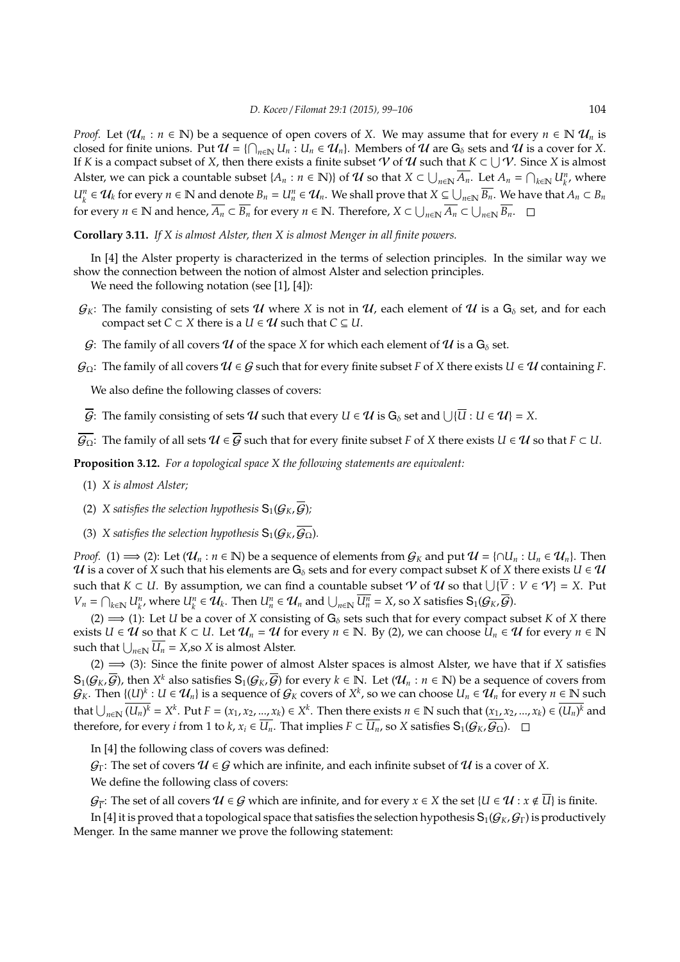*Proof.* Let  $(\mathcal{U}_n : n \in \mathbb{N})$  be a sequence of open covers of *X*. We may assume that for every  $n \in \mathbb{N}$   $\mathcal{U}_n$  is closed for finite unions. Put  $\mathcal{U} = \{\bigcap_{n\in\mathbb{N}} U_n : U_n \in \mathcal{U}_n\}$ . Members of  $\mathcal{U}$  are  $G_\delta$  sets and  $\mathcal{U}$  is a cover for *X*. If *K* is a compact subset of *X*, then there exists a finite subset  $V$  of  $U$  such that  $K \subset \bigcup V$ . Since *X* is almost Alster, we can pick a countable subset  $\{A_n : n \in \mathbb{N}\}\$  of  $\mathcal{U}$  so that  $X \subset \bigcup_{n \in \mathbb{N}} \overline{A_n}$ . Let  $A_n = \bigcap_{k \in \mathbb{N}} U_k^n$ , where  $U_k^n \in \mathcal{U}_k$  for every  $n \in \mathbb{N}$  and denote  $B_n = U_n^n \in \mathcal{U}_n$ . We shall prove that  $X \subseteq \bigcup_{n \in \mathbb{N}} \overline{B_n}$ . We have that  $A_n \subset B_n$ for every  $n \in \mathbb{N}$  and hence,  $\overline{A_n} \subset \overline{B_n}$  for every  $n \in \mathbb{N}$ . Therefore,  $X \subset \bigcup_{n \in \mathbb{N}} \overline{A_n} \subset \bigcup_{n \in \mathbb{N}} \overline{B_n}$ .

**Corollary 3.11.** *If X is almost Alster, then X is almost Menger in all finite powers.*

In [4] the Alster property is characterized in the terms of selection principles. In the similar way we show the connection between the notion of almost Alster and selection principles.

We need the following notation (see [1], [4]):

- $G_K$ : The family consisting of sets U where X is not in U, each element of U is a  $G_\delta$  set, and for each compact set *C*  $\subset$  *X* there is a *U*  $\in$  *U* such that *C*  $\subseteq$  *U*.
- G: The family of all covers U of the space X for which each element of U is a  $G_{\delta}$  set.
- $G_{\Omega}$ : The family of all covers  $U \in G$  such that for every finite subset *F* of *X* there exists  $U \in U$  containing *F*.

We also define the following classes of covers:

 $\overline{G}$ : The family consisting of sets  $\bm{\mathcal{U}}$  such that every  $U\in\bm{\mathcal{U}}$  is  $\mathsf{G}_\delta$  set and  $\bigcup\{\overline{U}:U\in\bm{\mathcal{U}}\}=X.$ 

 $\overline{\mathcal{G}_{\Omega}}$ : The family of all sets  $\mathcal{U} \in \overline{\mathcal{G}}$  such that for every finite subset *F* of *X* there exists  $U \in \mathcal{U}$  so that  $F \subset U$ .

**Proposition 3.12.** *For a topological space X the following statements are equivalent:*

- (1) *X is almost Alster;*
- (2) *X satisfies the selection hypothesis*  $S_1(G_K, \overline{G})$ *;*
- (3) *X satisfies the selection hypothesis*  $S_1(G_K, \overline{G_{\Omega}})$ *.*

*Proof.* (1)  $\implies$  (2): Let  $(\mathcal{U}_n : n \in \mathbb{N})$  be a sequence of elements from  $\mathcal{G}_K$  and put  $\mathcal{U} = \{ \cap U_n : U_n \in \mathcal{U}_n \}$ . Then  $U$  is a cover of *X* such that his elements are  $G_{\delta}$  sets and for every compact subset *K* of *X* there exists  $U \in U$ such that  $K \subset U$ . By assumption, we can find a countable subset  $\mathcal V$  of  $\mathcal U$  so that  $\bigcup \{\overline V: V \in \mathcal V\} = X$ . Put  $V_n = \bigcap_{k \in \mathbb{N}} U_{k'}^n$ , where  $U_k^n \in \mathcal{U}_k$ . Then  $U_n^n \in \mathcal{U}_n$  and  $\bigcup_{n \in \mathbb{N}} \overline{U_n^n} = X$ , so X satisfies  $S_1(\mathcal{G}_K, \overline{\mathcal{G}})$ .

(2)  $\implies$  (1): Let *U* be a cover of *X* consisting of G<sub>δ</sub> sets such that for every compact subset *K* of *X* there exists *U* ∈ *U* so that *K* ⊂ *U*. Let  $\mathcal{U}_n = \mathcal{U}$  for every  $n \in \mathbb{N}$ . By (2), we can choose  $U_n \in \mathcal{U}$  for every  $n \in \mathbb{N}$ such that  $\bigcup_{n\in\mathbb{N}} U_n = X$ , so *X* is almost Alster.

(2) =⇒ (3): Since the finite power of almost Alster spaces is almost Alster, we have that if *X* satisfies  $S_1(G_K, \overline{G})$ , then  $X^k$  also satisfies  $S_1(G_K, \overline{G})$  for every  $k \in \mathbb{N}$ . Let  $(\mathcal{U}_n : n \in \mathbb{N})$  be a sequence of covers from  $\mathcal{G}_K$ . Then  $\{(U)^k : U \in \mathcal{U}_n\}$  is a sequence of  $\mathcal{G}_K$  covers of  $X^k$ , so we can choose  $U_n \in \mathcal{U}_n$  for every  $n \in \mathbb{N}$  such that  $\bigcup_{n\in\mathbb{N}}\overline{(U_n)^k}=X^k$ . Put  $F=(x_1,x_2,...,x_k)\in X^k$ . Then there exists  $n\in\mathbb{N}$  such that  $(x_1,x_2,...,x_k)\in\overline{(U_n)^k}$  and therefore, for every *i* from 1 to *k*,  $x_i$  ∈  $\overline{U_n}$ . That implies  $F$  ⊂  $\overline{U_n}$ , so *X* satisfies  $S_1(G_K, \overline{G_\Omega})$ . □

In [4] the following class of covers was defined:

 $\mathcal{G}_{\Gamma}$ : The set of covers  $\mathcal{U} \in \mathcal{G}$  which are infinite, and each infinite subset of  $\mathcal{U}$  is a cover of X.

We define the following class of covers:

 $\mathcal{G}_{\overline{\Gamma}}$ : The set of all covers  $\mathcal{U} \in \mathcal{G}$  which are infinite, and for every  $x \in X$  the set  $\{U \in \mathcal{U} : x \notin \overline{U}\}$  is finite.

In [4] it is proved that a topological space that satisfies the selection hypothesis  $S_1(G_K, G_\Gamma)$  is productively Menger. In the same manner we prove the following statement: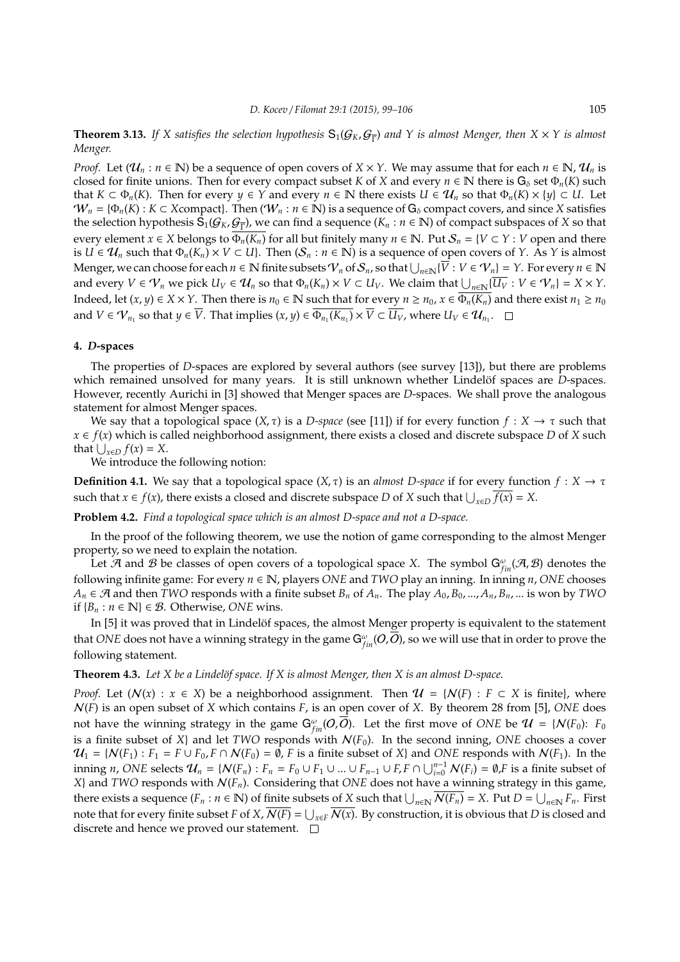**Theorem 3.13.** If X satisfies the selection hypothesis  $S_1(G_K, G_{\overline{\Gamma}})$  and Y is almost Menger, then  $X \times Y$  is almost *Menger.*

*Proof.* Let  $(\mathcal{U}_n : n \in \mathbb{N})$  be a sequence of open covers of  $X \times Y$ . We may assume that for each  $n \in \mathbb{N}$ ,  $\mathcal{U}_n$  is closed for finite unions. Then for every compact subset *K* of *X* and every  $n \in \mathbb{N}$  there is  $G_\delta$  set  $\Phi_n(K)$  such that  $K \subset \Phi_n(K)$ . Then for every  $\gamma \in Y$  and every  $n \in \mathbb{N}$  there exists  $U \in \mathcal{U}_n$  so that  $\Phi_n(K) \times \{\gamma\} \subset U$ . Let  $W_n = {\Phi_n(K) : K \subset X}$ compact}. Then  $(W_n : n \in \mathbb{N})$  is a sequence of  $G_\delta$  compact covers, and since *X* satisfies the selection hypothesis  $\hat{S}_1(G_K, G_{\overline{\Gamma}})$ , we can find a sequence  $(K_n : n \in \mathbb{N})$  of compact subspaces of *X* so that every element *x* ∈ *X* belongs to  $\overline{\Phi_n(K_n)}$  for all but finitely many *n* ∈ N. Put  $S_n = \{V \subset Y : V$  open and there is *U* ∈  $\mathcal{U}_n$  such that  $\Phi_n(K_n) \times V \subset U$ }. Then  $(\mathcal{S}_n : n \in \mathbb{N})$  is a sequence of open covers of *Y*. As *Y* is almost  $M$ enger, we can choose for each  $n \in \mathbb{N}$  finite subsets  $\mathcal{V}_n$  of  $\mathcal{S}_n$ , so that  $\bigcup_{n \in \mathbb{N}}\{\overline{V}: V \in \mathcal{V}_n\}=Y$ . For every  $n \in \mathbb{N}$ and every  $V \in \mathcal{V}_n$  we pick  $U_V \in \mathcal{U}_n$  so that  $\Phi_n(K_n) \times V \subset U_V$ . We claim that  $\bigcup_{n \in \mathbb{N}} \{ \overline{U_V} : V \in \mathcal{V}_n \} = X \times Y$ . Indeed, let  $(x, y) \in X \times Y$ . Then there is  $n_0 \in \mathbb{N}$  such that for every  $n \ge n_0$ ,  $x \in \overline{\Phi_n(K_n)}$  and there exist  $n_1 \ge n_0$ and  $V \in \mathcal{V}_{n_1}$  so that  $y \in \overline{V}$ . That implies  $(x, y) \in \overline{\Phi_{n_1}(K_{n_1})} \times \overline{V} \subset \overline{U_V}$ , where  $U_V \in \mathcal{U}_{n_1}$ .

#### **4.** *D***-spaces**

The properties of *D*-spaces are explored by several authors (see survey [13]), but there are problems which remained unsolved for many years. It is still unknown whether Lindelöf spaces are *D*-spaces. However, recently Aurichi in [3] showed that Menger spaces are *D*-spaces. We shall prove the analogous statement for almost Menger spaces.

We say that a topological space  $(X, \tau)$  is a *D-space* (see [11]) if for every function  $f : X \to \tau$  such that *x* ∈ *f*(*x*) which is called neighborhood assignment, there exists a closed and discrete subspace *D* of *X* such that  $\bigcup_{x \in D} f(x) = X$ .

We introduce the following notion:

**Definition 4.1.** We say that a topological space  $(X, \tau)$  is an *almost D-space* if for every function  $f : X \to \tau$ such that *x* ∈ *f*(*x*), there exists a closed and discrete subspace *D* of *X* such that  $\bigcup_{x \in D} \overline{f(x)} = X$ .

**Problem 4.2.** *Find a topological space which is an almost D-space and not a D-space.*

In the proof of the following theorem, we use the notion of game corresponding to the almost Menger property, so we need to explain the notation.

Let  $\mathcal A$  and  $\mathcal B$  be classes of open covers of a topological space *X*. The symbol  $G_{fin}^{\omega}(\mathcal A,\mathcal B)$  denotes the following infinite game: For every *n* ∈ N, players *ONE* and *TWO* play an inning. In inning *n*, *ONE* chooses  $A_n \in \mathcal{A}$  and then *TWO* responds with a finite subset  $B_n$  of  $A_n$ . The play  $A_0, B_0, ..., A_n, B_n, ...$  is won by *TWO* if  ${B<sub>n</sub> : n ∈ ℕ} ∈ B$ . Otherwise, *ONE* wins.

In [5] it was proved that in Lindelöf spaces, the almost Menger property is equivalent to the statement that *ONE* does not have a winning strategy in the game  $G_{fin}^{\omega}(O,\overline{O})$ , so we will use that in order to prove the following statement.

#### **Theorem 4.3.** Let X be a Lindelöf space. If X is almost Menger, then X is an almost D-space.

*Proof.* Let  $(N(x) : x \in X)$  be a neighborhood assignment. Then  $\mathcal{U} = \{N(F) : F \subset X \text{ is finite}\}\)$ , where N(*F*) is an open subset of *X* which contains *F*, is an open cover of *X*. By theorem 28 from [5], *ONE* does not have the winning strategy in the game  $G^{\omega}_{fin}(O,\overline{O}).$  Let the first move of *ONE* be  $\mathcal{U}$  = { $\mathcal{N}(F_0)$ :  $F_0$ is a finite subset of *X*} and let *TWO* responds with  $N(F_0)$ . In the second inning, *ONE* chooses a cover  $U_1 = \{N(F_1) : F_1 = F \cup F_0, F \cap N(F_0) = \emptyset, F \text{ is a finite subset of } X\}$  and *ONE* responds with  $N(F_1)$ . In the inning *n*, *ONE* selects  $\mathcal{U}_n = \{N(F_n) : F_n = F_0 \cup F_1 \cup ... \cup F_{n-1} \cup F_r F \cap \bigcup_{i=0}^{n-1} N(F_i) = \emptyset, F$  is a finite subset of *X*} and *TWO* responds with N(*Fn*). Considering that *ONE* does not have a winning strategy in this game, there exists a sequence  $(F_n : n \in \mathbb{N})$  of finite subsets of *X* such that  $\bigcup_{n\in\mathbb{N}} \overline{N(F_n)} = X$ . Put  $D = \bigcup_{n\in\mathbb{N}} F_n$ . First note that for every finite subset *F* of *X*,  $\overline{N(F)}$  =  $\bigcup_{x\in F}\overline{N(x)}$ . By construction, it is obvious that *D* is closed and discrete and hence we proved our statement.  $\square$